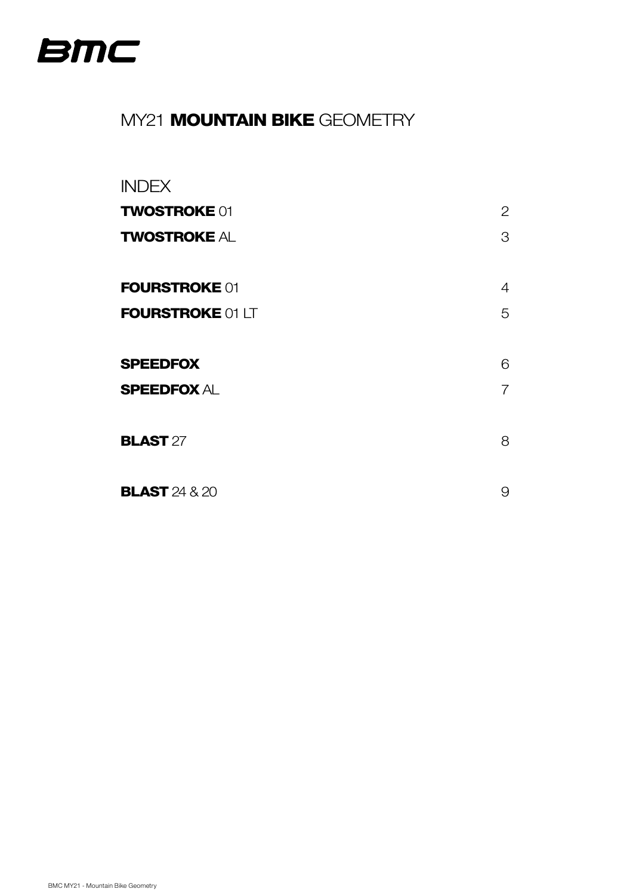<span id="page-0-0"></span>

## MY21 **MOUNTAIN BIKE** GEOMETRY

# INDEX **TWOSTROKE** 01 2 **[TWOSTROKE](#page-2-0) AL 3** 3 [FOURSTROKE](#page-3-0) 01 4 [FOURSTROKE](#page-4-0) 01 LT [SPEEDFOX](#page-5-0) 6 [SPEEDFOX](#page-6-0) AL 7 7 **[BLAST](#page-7-0)** 27 8 **[BLAST](#page-8-0)** 24 & 20 9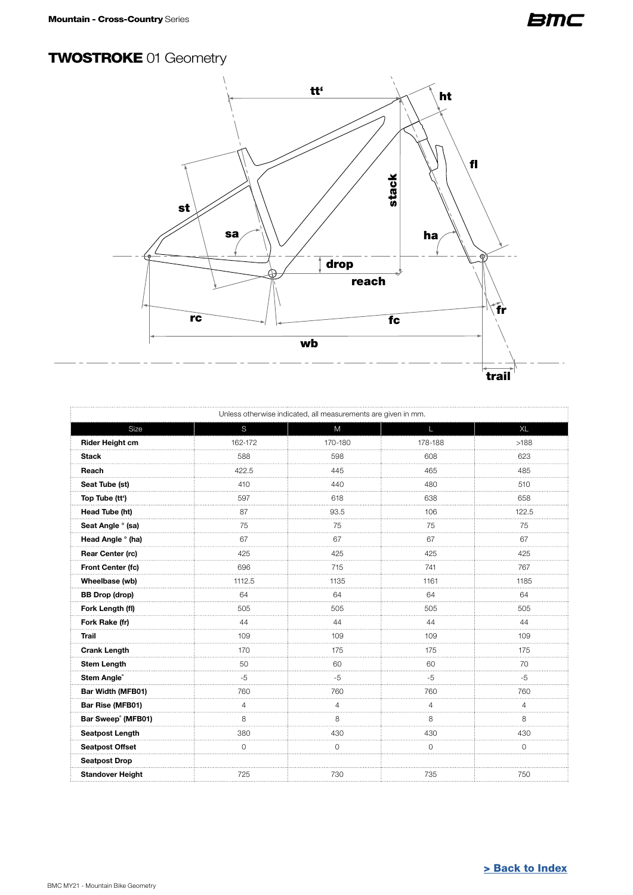#### <span id="page-1-0"></span>TWOSTROKE 01 Geometry



| Unless otherwise indicated, all measurements are given in mm. |         |         |         |             |
|---------------------------------------------------------------|---------|---------|---------|-------------|
| Size                                                          | S       | M       | L       | <b>XL</b>   |
| Rider Height cm                                               | 162-172 | 170-180 | 178-188 | >188        |
| <b>Stack</b>                                                  | 588     | 598     | 608     | 623         |
| Reach                                                         | 422.5   | 445     | 465     | 485         |
| Seat Tube (st)                                                | 410     | 440     | 480     | 510         |
| Top Tube (tt')                                                | 597     | 618     | 638     | 658         |
| Head Tube (ht)                                                | 87      | 93.5    | 106     | 122.5       |
| Seat Angle ° (sa)                                             | 75      | 75      | 75      | 75          |
| Head Angle ° (ha)                                             | 67      | 67      | 67      | 67          |
| Rear Center (rc)                                              | 425     | 425     | 425     | 425         |
| Front Center (fc)                                             | 696     | 715     | 741     | 767         |
| Wheelbase (wb)                                                | 1112.5  | 1135    | 1161    | 1185        |
| <b>BB Drop (drop)</b>                                         | 64      | 64      | 64      | 64          |
| Fork Length (fl)                                              | 505     | 505     | 505     | 505         |
| Fork Rake (fr)                                                | 44      | 44      | 44      | 44          |
| <b>Trail</b>                                                  | 109     | 109     | 109     | 109<br>.    |
| <b>Crank Length</b>                                           | 170     | 175     | 175     | 175         |
| <b>Stem Length</b>                                            | 50      | 60      | 60      | 70          |
| Stem Angle®                                                   | $-5$    | $-5$    | $-5$    | $-5$<br>.   |
| Bar Width (MFB01)                                             | 760     | 760     | 760     | 760         |
| Bar Rise (MFB01)                                              | 4       | 4       | 4       | 4           |
| Bar Sweep <sup>®</sup> (MFB01)                                | 8       | 8       | 8       | 8           |
| Seatpost Length                                               | 380     | 430     | 430     | 430         |
| <b>Seatpost Offset</b>                                        | 0       | 0       | 0       | $\mathbf 0$ |
| <b>Seatpost Drop</b>                                          |         |         |         |             |
| <b>Standover Height</b>                                       | 725     | 730     | 735     | 750         |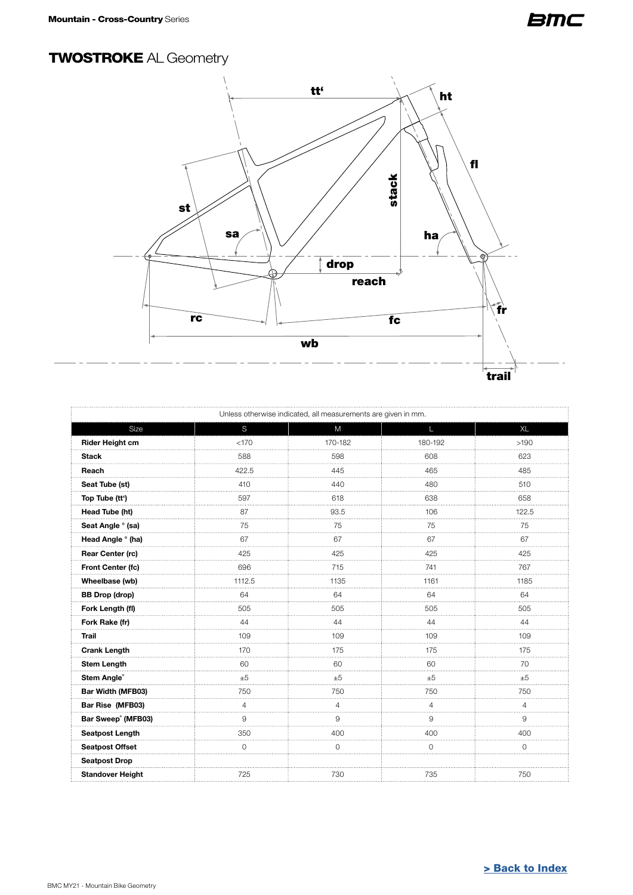#### <span id="page-2-0"></span>TWOSTROKE AL Geometry



| Unless otherwise indicated, all measurements are given in mm. |        |                |          |                |
|---------------------------------------------------------------|--------|----------------|----------|----------------|
| Size                                                          | S      | M              | L        | XL             |
| Rider Height cm                                               | < 170  | 170-182        | 180-192  | >190           |
| <b>Stack</b>                                                  | 588    | 598            | 608      | 623            |
| Reach                                                         | 422.5  | 445            | 465      | 485            |
| Seat Tube (st)                                                | 410    | 440            | 480      | 510            |
| Top Tube (tt')                                                | 597    | 618            | 638      | 658            |
| Head Tube (ht)                                                | 87     | 93.5           | 106      | 122.5          |
| Seat Angle ° (sa)                                             | 75     | 75             | 75<br>.  | 75             |
| Head Angle ° (ha)                                             | 67     | 67             | 67       | 67             |
| <b>Rear Center (rc)</b>                                       | 425    | 425            | 425      | 425            |
| Front Center (fc)                                             | 696    | 715            | 741      | 767            |
| Wheelbase (wb)                                                | 1112.5 | 1135           | 1161     | 1185           |
| <b>BB Drop (drop)</b>                                         | 64     | 64             | 64       | 64             |
| Fork Length (fl)                                              | 505    | 505            | 505      | 505            |
| Fork Rake (fr)                                                | 44     | 44             | 44       | 44             |
| <b>Trail</b>                                                  | 109    | 109<br>.       | 109<br>. | 109            |
| <b>Crank Length</b>                                           | 170    | 175            | 175      | 175            |
| <b>Stem Length</b>                                            | 60     | 60             | 60       | 70             |
| Stem Angle®                                                   | ±5     | ±5             | ±5       | ±5             |
| Bar Width (MFB03)                                             | 750    | 750            | 750      | 750            |
| Bar Rise (MFB03)                                              | 4      | 4              | 4        | $\overline{4}$ |
| Bar Sweep <sup>®</sup> (MFB03)                                | 9      | 9              | 9        | 9              |
| <b>Seatpost Length</b>                                        | 350    | 400            | 400      | 400            |
| Seatpost Offset                                               | 0      | $\overline{0}$ | 0        | 0              |
| <b>Seatpost Drop</b>                                          |        |                |          |                |
| <b>Standover Height</b>                                       | 725    | 730            | 735      | 750            |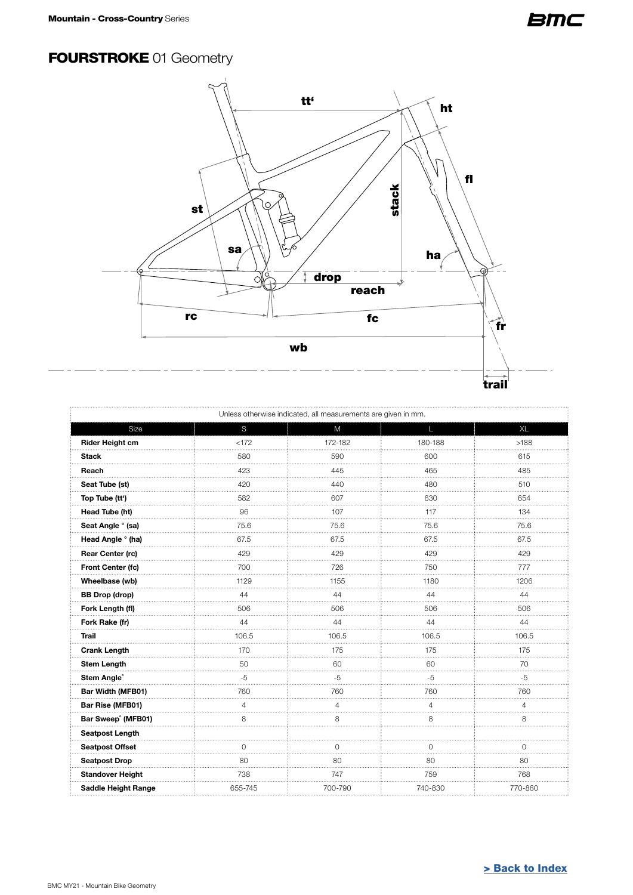#### <span id="page-3-0"></span>**FOURSTROKE 01 Geometry**



| Unless otherwise indicated, all measurements are given in mm. |         |         |          |           |
|---------------------------------------------------------------|---------|---------|----------|-----------|
| Size                                                          | S       | M       | L        | <b>XL</b> |
| Rider Height cm                                               | < 172   | 172-182 | 180-188  | >188      |
| <b>Stack</b>                                                  | 580     | 590     | 600      | 615<br>.  |
| Reach                                                         | 423     | 445     | 465      | 485       |
| Seat Tube (st)                                                | 420     | 440     | 480      | 510       |
| Top Tube (tt')                                                | 582     | 607     | 630      | 654       |
| Head Tube (ht)                                                | 96      | 107     | 117      | 134       |
| Seat Angle ° (sa)                                             | 75.6    | 75.6    | 75.6     | 75.6      |
| Head Angle ° (ha)                                             | 67.5    | 67.5    | 67.5     | 67.5      |
| <b>Rear Center (rc)</b>                                       | 429     | 429     | 429      | 429       |
| Front Center (fc)                                             | 700     | 726     | 750      | 777       |
| Wheelbase (wb)                                                | 1129    | 1155    | 1180     | 1206      |
| <b>BB Drop (drop)</b>                                         | 44      | 44      | 44       | 44        |
| Fork Length (fl)                                              | 506     | 506     | 506      | 506       |
| Fork Rake (fr)                                                | 44      | 44      | 44       | 44        |
| <b>Trail</b>                                                  | 106.5   | 106.5   | 106.5    | 106.5     |
| <b>Crank Length</b>                                           | 170     | 175     | 175      | 175       |
| <b>Stem Length</b>                                            | 50      | 60      | 60       | 70        |
| Stem Angle®                                                   | $-5$    | $-5$    | $-5$     | $-5$      |
| Bar Width (MFB01)                                             | 760     | 760     | 760      | 760       |
| Bar Rise (MFB01)                                              | 4       | 4       | 4        | Δ         |
| Bar Sweep <sup>®</sup> (MFB01)                                | 8       | 8       | 8        | 8         |
| Seatpost Length                                               |         |         |          |           |
| <b>Seatpost Offset</b>                                        | 0       | 0       | $\Omega$ | U         |
| <b>Seatpost Drop</b>                                          | 80      | 80      | 80       | 80        |
| <b>Standover Height</b>                                       | 738     | 747     | 759      | 768       |
| <b>Saddle Height Range</b>                                    | 655-745 | 700-790 | 740-830  | 770-860   |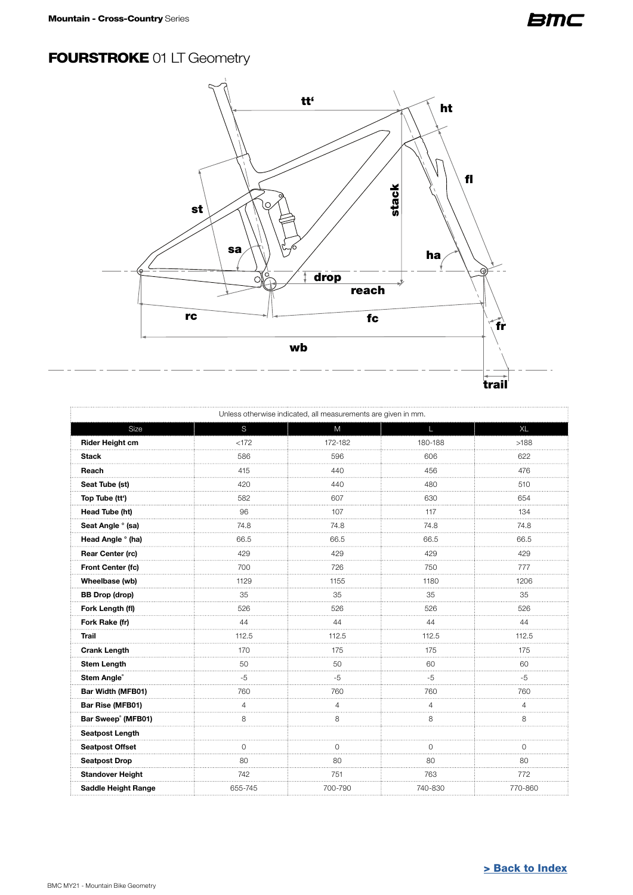## <span id="page-4-0"></span>**FOURSTROKE 01 LT Geometry**



| Unless otherwise indicated, all measurements are given in mm. |          |          |         |             |
|---------------------------------------------------------------|----------|----------|---------|-------------|
| Size                                                          | S        | M        | L.      | <b>XL</b>   |
| <b>Rider Height cm</b>                                        | < 172    | 172-182  | 180-188 | >188        |
| Stack                                                         | 586      | 596      | 606     | 622         |
| Reach                                                         | 415      | 440      | 456     | 476         |
| Seat Tube (st)                                                | 420<br>. | 440      | 480     | 510         |
| Top Tube (tt')                                                | 582      | 607      | 630     | 654         |
| Head Tube (ht)                                                | 96       | 107      | 117     | 134         |
| Seat Angle ° (sa)                                             | 74.8     | 74.8     | 74.8    | 74.8        |
| Head Angle ° (ha)                                             | 66.5     | 66.5     | 66.5    | 66.5        |
| Rear Center (rc)                                              | 429      | 429      | 429     | 429         |
| Front Center (fc)                                             | 700      | 726      | 750     | 777<br>.    |
| Wheelbase (wb)                                                | 1129     | 1155     | 1180    | 1206        |
| <b>BB Drop (drop)</b>                                         | 35       | 35       | 35      | 35          |
| Fork Length (fl)                                              | 526      | 526<br>. | 526     | 526<br>.    |
| Fork Rake (fr)                                                | 44       | 44       | 44      | 44          |
| <b>Trail</b>                                                  | 112.5    | 112.5    | 112.5   | 112.5       |
| Crank Length                                                  | 170      | 175      | 175     | 175         |
| <b>Stem Length</b>                                            | 50       | 50       | 60      | 60          |
| Stem Angle®                                                   | $-5$     | $-5$     | $-5$    | $-5$        |
| Bar Width (MFB01)                                             | 760      | 760      | 760     | 760         |
| Bar Rise (MFB01)                                              | 4        | 4        | 4       | 4           |
| Bar Sweep° (MFB01)                                            | 8        | 8        | 8       | 8           |
| <b>Seatpost Length</b>                                        |          |          |         |             |
| <b>Seatpost Offset</b>                                        | 0        | 0        | 0       | $\mathbf 0$ |
| <b>Seatpost Drop</b>                                          | 80       | 80       | 80      | 80          |
| <b>Standover Height</b>                                       | 742      | 751      | 763     | 772         |
| <b>Saddle Height Range</b>                                    | 655-745  | 700-790  | 740-830 | 770-860     |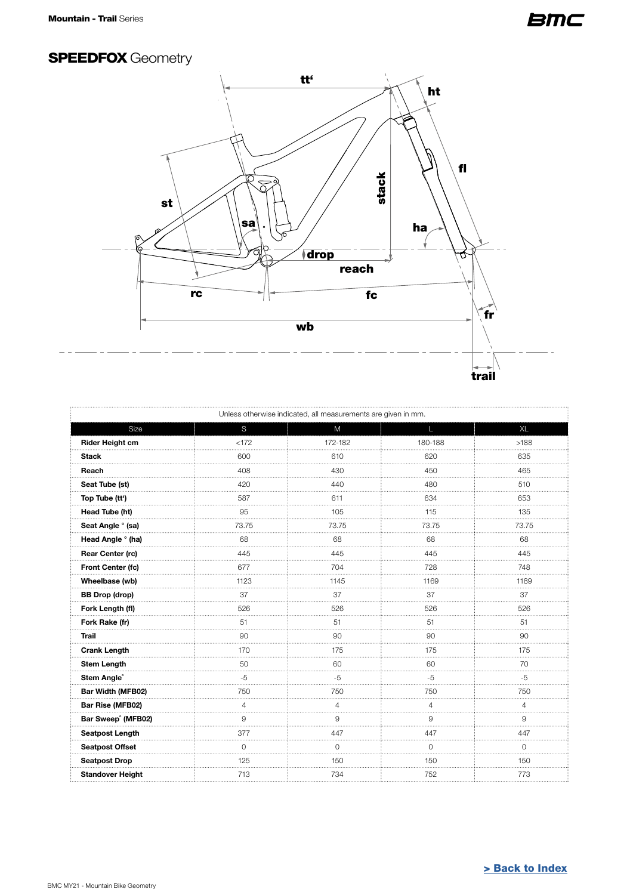## <span id="page-5-0"></span>**SPEEDFOX Geometry**



| Unless otherwise indicated, all measurements are given in mm. |                |         |               |                |  |
|---------------------------------------------------------------|----------------|---------|---------------|----------------|--|
| Size                                                          | S              | M       | L.            | <b>XL</b>      |  |
| Rider Height cm                                               | < 172          | 172-182 | 180-188       | >188           |  |
| <b>Stack</b>                                                  | 600            | 610     | 620           | 635            |  |
| Reach                                                         | 408            | 430     | 450           | 465            |  |
| Seat Tube (st)                                                | 420            | 440     | 480           | 510            |  |
| Top Tube (tt')                                                | 587            | 611     | 634           | 653            |  |
| Head Tube (ht)                                                | 95             | 105     | 115           | 135            |  |
| Seat Angle ° (sa)                                             | 73.75          | 73.75   | 73.75         | 73.75<br>.     |  |
| Head Angle ° (ha)                                             | 68             | 68      | 68            | 68             |  |
| <b>Rear Center (rc)</b>                                       | 445            | 445     | 445           | 445            |  |
| Front Center (fc)                                             | 677            | 704     | 728           | 748            |  |
| Wheelbase (wb)                                                | 1123           | 1145    | 1169          | 1189           |  |
| <b>BB Drop (drop)</b>                                         | 37             | 37      | 37            | 37             |  |
| Fork Length (fl)                                              | 526            | 526     | 526           | 526            |  |
| Fork Rake (fr)                                                | 51             | 51      | 51            | 51             |  |
| <b>Trail</b>                                                  | 90             | 90      | 90            | 90<br>1.1.1.1  |  |
| <b>Crank Length</b>                                           | 170            | 175     | 175           | 175            |  |
| <b>Stem Length</b>                                            | 50             | 60      | 60            | 70             |  |
| Stem Angle®                                                   | $-5$           | $-5$    | $-5$          | $-5$           |  |
| Bar Width (MFB02)                                             | 750            | 750     | 750           | 750            |  |
| Bar Rise (MFB02)                                              | $\overline{4}$ | 4       | 4             | $\overline{4}$ |  |
| Bar Sweep° (MFB02)                                            | 9              | 9       | 9             | $\mathsf 9$    |  |
| Seatpost Length                                               | 377            | 447     | 447           | 447            |  |
| <b>Seatpost Offset</b>                                        | $\Omega$<br>.  | 0       | $\Omega$<br>. | $\Omega$<br>.  |  |
| <b>Seatpost Drop</b>                                          | 125            | 150     | 150           | 150            |  |
| <b>Standover Height</b>                                       | 713            | 734     | 752           | 773            |  |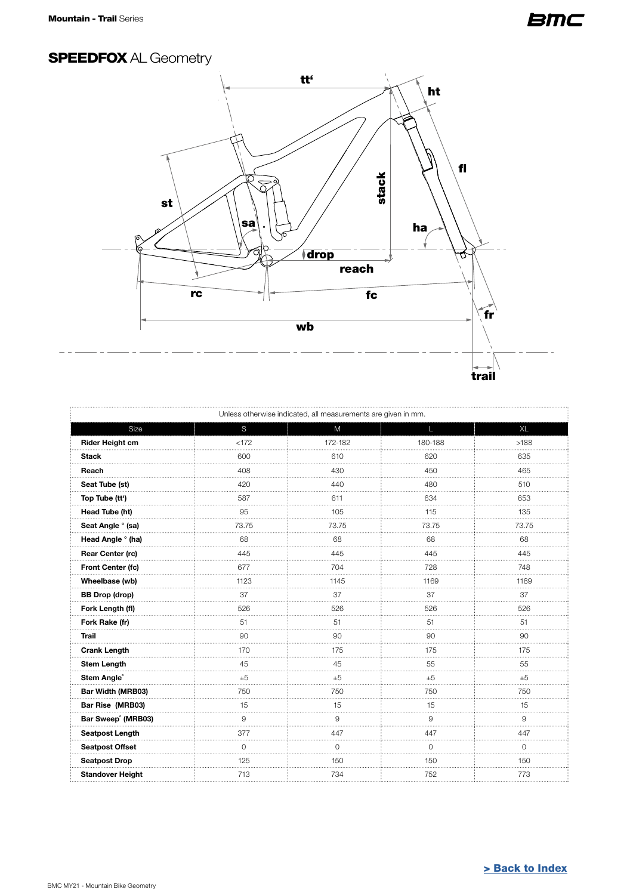#### <span id="page-6-0"></span>SPEEDFOX AL Geometry



| Unless otherwise indicated, all measurements are given in mm. |                |         |               |               |  |
|---------------------------------------------------------------|----------------|---------|---------------|---------------|--|
| Size                                                          | S              | M       | L             | <b>XL</b>     |  |
| Rider Height cm                                               | < 172          | 172-182 | 180-188       | >188          |  |
| <b>Stack</b>                                                  | 600            | 610     | 620           | 635<br>.      |  |
| Reach                                                         | 408            | 430     | 450           | 465           |  |
| Seat Tube (st)                                                | 420            | 440     | 480           | 510           |  |
| Top Tube (tt')                                                | 587            | 611     | 634           | 653           |  |
| Head Tube (ht)                                                | 95             | 105     | 115           | 135           |  |
| Seat Angle ° (sa)                                             | 73.75          | 73.75   | 73.75<br>.    | 73.75<br>.    |  |
| Head Angle ° (ha)                                             | 68             | 68      | 68            | 68            |  |
| <b>Rear Center (rc)</b>                                       | 445            | 445     | 445           | 445           |  |
| Front Center (fc)                                             | 677            | 704     | 728           | 748           |  |
| Wheelbase (wb)                                                | 1123           | 1145    | 1169          | 1189          |  |
| <b>BB Drop (drop)</b>                                         | 37             | 37      | 37            | 37            |  |
| Fork Length (fl)                                              | 526            | 526     | 526           | 526           |  |
| Fork Rake (fr)                                                | 51             | 51      | 51            | 51            |  |
| <b>Trail</b>                                                  | 90<br>1.1.1    | 90      | 90<br>.       | 90<br>.       |  |
| <b>Crank Length</b>                                           | 170            | 175     | 175           | 175           |  |
| <b>Stem Length</b>                                            | 45             | 45      | 55            | 55            |  |
| Stem Angle®                                                   | ±5             | ±5      | ±5            | ±5            |  |
| Bar Width (MRB03)                                             | 750            | 750     | 750           | 750           |  |
| Bar Rise (MRB03)                                              | 15             | 15      | 15            | 15            |  |
| Bar Sweep° (MRB03)                                            | 9              | 9       | 9             | 9             |  |
| <b>Seatpost Length</b>                                        | 377            | 447     | 447           | 447           |  |
| <b>Seatpost Offset</b>                                        | $\overline{O}$ | 0       | $\Omega$<br>. | $\Omega$<br>. |  |
| <b>Seatpost Drop</b>                                          | 125            | 150     | 150           | 150           |  |
| <b>Standover Height</b>                                       | 713            | 734     | 752           | 773           |  |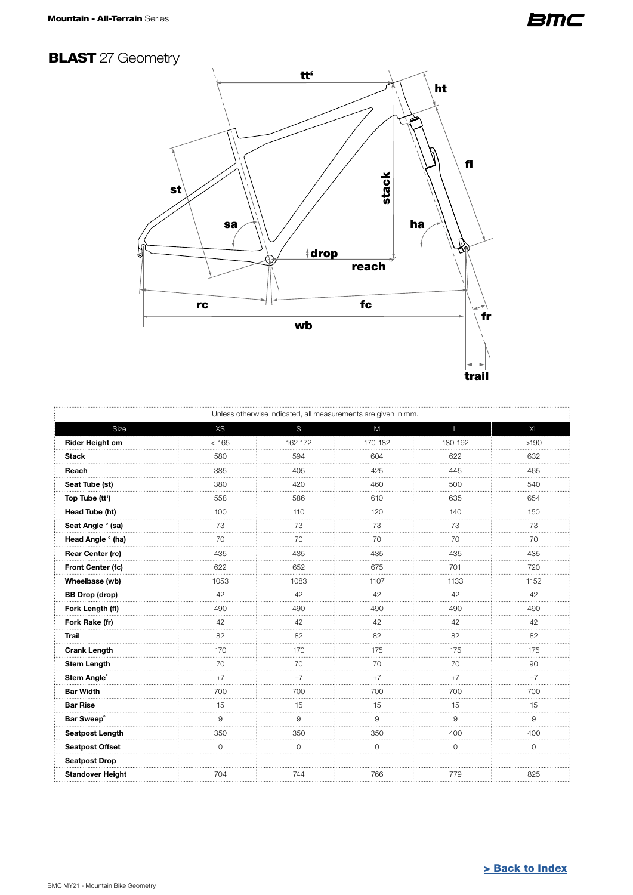## <span id="page-7-0"></span>**BLAST** 27 Geometry



|                         | Unless otherwise indicated, all measurements are given in mm. |         |          |              |              |
|-------------------------|---------------------------------------------------------------|---------|----------|--------------|--------------|
| Size                    | <b>XS</b>                                                     | S       | M        | $\mathsf{L}$ | <b>XL</b>    |
| Rider Height cm         | < 165                                                         | 162-172 | 170-182  | 180-192      | >190         |
| Stack                   | 580                                                           | 594     | 604      | 622          | 632          |
| Reach                   | 385                                                           | 405     | 425      | 445          | 465          |
| Seat Tube (st)          | 380                                                           | 420     | 460      | 500          | 540          |
| Top Tube (tt')          | 558                                                           | 586     | 610      | 635          | 654          |
| Head Tube (ht)          | 100                                                           | 110     | 120      | 140          | 150          |
| Seat Angle ° (sa)       | 73                                                            | 73<br>. | 73<br>.  | 73<br>.      | 73<br>.      |
| Head Angle ° (ha)       | 70                                                            | 70      | 70       | 70           | 70           |
| Rear Center (rc)        | 435                                                           | 435     | 435      | 435          | 435          |
| Front Center (fc)       | 622                                                           | 652     | 675      | 701          | 720          |
| Wheelbase (wb)          | 1053                                                          | 1083    | 1107     | 1133         | 1152         |
| <b>BB Drop (drop)</b>   | 42                                                            | 42      | 42       | 42           | 42           |
| Fork Length (fl)        | 490                                                           | 490     | 490      | 490          | 490          |
| Fork Rake (fr)          | 42                                                            | 42      | 42       | 42           | 42           |
| <b>Trail</b>            | 82                                                            | 82      | 82       | 82           | 82           |
| <b>Crank Length</b>     | 170                                                           | 170     | 175      | 175          | 175          |
| <b>Stem Length</b>      | 70                                                            | 70      | 70       | 70           | 90           |
| Stem Angle®             | ±7                                                            | ±7      | ±7       | ±7           | ±7           |
| <b>Bar Width</b>        | 700                                                           | 700     | 700      | 700          | 700          |
| <b>Bar Rise</b>         | 15                                                            | 15      | 15       | 15           | 15           |
| Bar Sweep®              | 9                                                             | 9       | 9        | 9            | 9            |
| <b>Seatpost Length</b>  | 350                                                           | 350     | 350      | 400          | 400          |
| <b>Seatpost Offset</b>  | $\Omega$                                                      | $\circ$ | $\Omega$ | $\Omega$     | $\mathbf{O}$ |
| <b>Seatpost Drop</b>    |                                                               |         |          |              |              |
| <b>Standover Height</b> | 704                                                           | 744     | 766      | 779          | 825          |